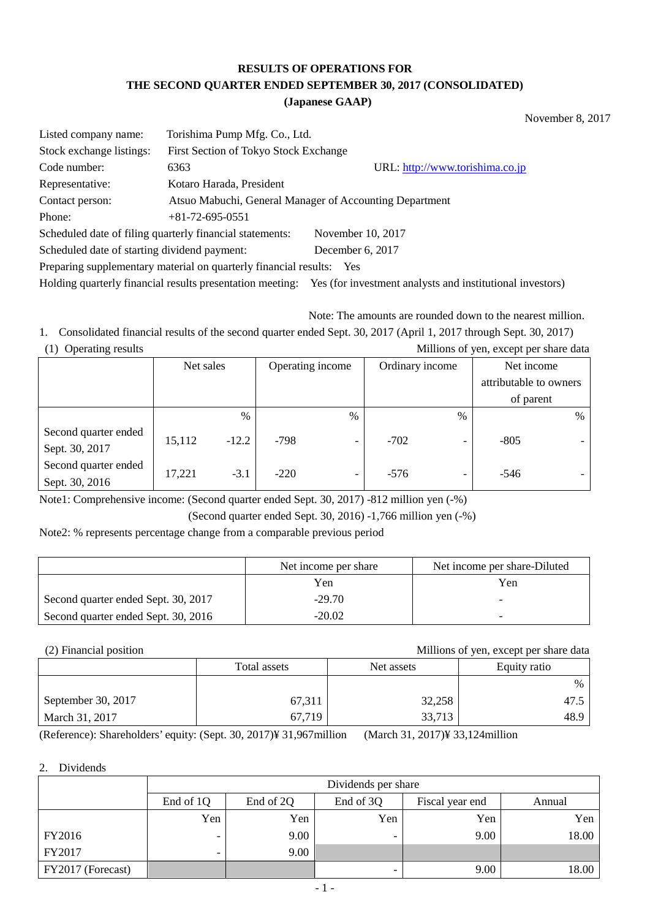# **RESULTS OF OPERATIONS FOR THE SECOND QUARTER ENDED SEPTEMBER 30, 2017 (CONSOLIDATED)**

#### **(Japanese GAAP)**

November 8, 2017

| Listed company name:                                                 | Torishima Pump Mfg. Co., Ltd.                            |                                 |  |  |  |  |
|----------------------------------------------------------------------|----------------------------------------------------------|---------------------------------|--|--|--|--|
| Stock exchange listings:                                             | First Section of Tokyo Stock Exchange                    |                                 |  |  |  |  |
| Code number:                                                         | 6363                                                     | URL: http://www.torishima.co.jp |  |  |  |  |
| Representative:                                                      | Kotaro Harada, President                                 |                                 |  |  |  |  |
| Contact person:                                                      | Atsuo Mabuchi, General Manager of Accounting Department  |                                 |  |  |  |  |
| Phone:                                                               | $+81-72-695-0551$                                        |                                 |  |  |  |  |
|                                                                      | Scheduled date of filing quarterly financial statements: | November 10, 2017               |  |  |  |  |
| Scheduled date of starting dividend payment:                         |                                                          | December 6, 2017                |  |  |  |  |
| Preparing supplementary material on quarterly financial results: Yes |                                                          |                                 |  |  |  |  |
|                                                                      |                                                          |                                 |  |  |  |  |

Holding quarterly financial results presentation meeting: Yes (for investment analysts and institutional investors)

Note: The amounts are rounded down to the nearest million.

1. Consolidated financial results of the second quarter ended Sept. 30, 2017 (April 1, 2017 through Sept. 30, 2017) (1) Operating results Millions of yen, except per share data

|                                        | Net sales |               | Operating income |                          | Ordinary income |                          | Net income             |   |
|----------------------------------------|-----------|---------------|------------------|--------------------------|-----------------|--------------------------|------------------------|---|
|                                        |           |               |                  |                          |                 |                          | attributable to owners |   |
|                                        |           |               |                  |                          |                 |                          | of parent              |   |
|                                        |           | $\frac{0}{0}$ |                  | $\%$                     |                 | $\%$                     |                        | % |
| Second quarter ended<br>Sept. 30, 2017 | 15,112    | $-12.2$       | $-798$           |                          | $-702$          | $\overline{\phantom{0}}$ | $-805$                 |   |
| Second quarter ended<br>Sept. 30, 2016 | 17,221    | $-3.1$        | $-220$           | $\overline{\phantom{0}}$ | $-576$          | $\overline{\phantom{0}}$ | $-546$                 |   |

Note1: Comprehensive income: (Second quarter ended Sept. 30, 2017) -812 million yen (-%)

(Second quarter ended Sept. 30, 2016) -1,766 million yen (-%)

Note2: % represents percentage change from a comparable previous period

|                                     | Net income per share | Net income per share-Diluted |
|-------------------------------------|----------------------|------------------------------|
|                                     | Yen                  | Yen                          |
| Second quarter ended Sept. 30, 2017 | $-29.70$             |                              |
| Second quarter ended Sept. 30, 2016 | $-20.02$             |                              |

(2) Financial position Millions of yen, except per share data

|                    | Total assets | Net assets | Equity ratio |
|--------------------|--------------|------------|--------------|
|                    |              |            | $\%$         |
| September 30, 2017 | 67,311       | 32,258     | 47.5         |
| March 31, 2017     | 67.719       | 33,713     | 48.9         |

(Reference): Shareholders' equity: (Sept. 30, 2017)¥ 31,967million (March 31, 2017)¥ 33,124million

#### 2. Dividends

|                   | Dividends per share      |                                                     |     |      |       |  |  |  |
|-------------------|--------------------------|-----------------------------------------------------|-----|------|-------|--|--|--|
|                   | End of 1Q                | End of 2Q<br>End of 3Q<br>Fiscal year end<br>Annual |     |      |       |  |  |  |
|                   | Yen                      | Yen                                                 | Yen | Yen  | Yen   |  |  |  |
| FY2016            |                          | 9.00                                                |     | 9.00 | 18.00 |  |  |  |
| FY2017            | $\overline{\phantom{0}}$ | 9.00                                                |     |      |       |  |  |  |
| FY2017 (Forecast) |                          |                                                     |     | 9.00 | 18.00 |  |  |  |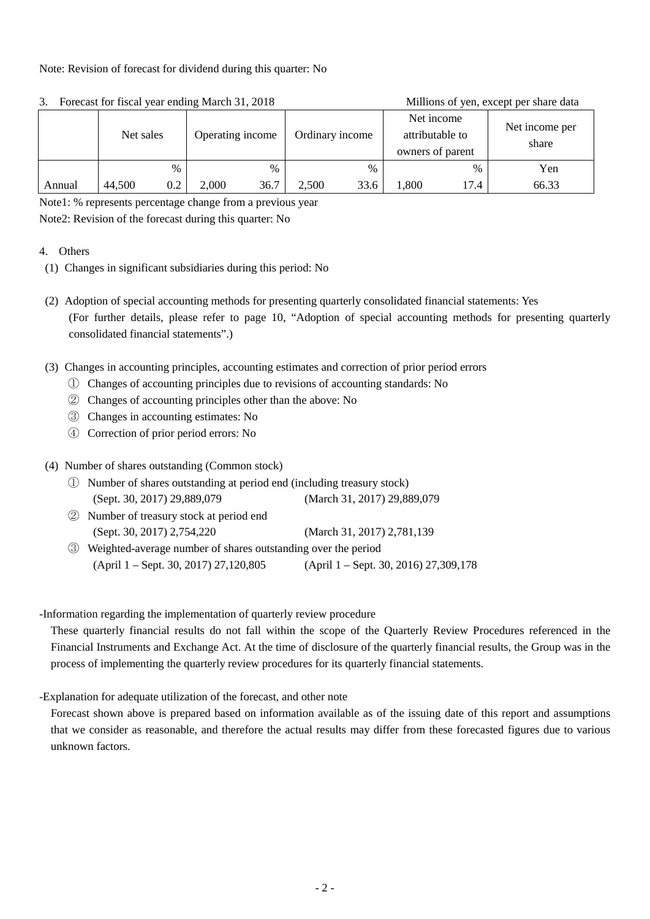#### Note: Revision of forecast for dividend during this quarter: No

|        | Operating income<br>Net sales |     |       | Ordinary income |       | Net income<br>attributable to<br>owners of parent |       | Net income per<br>share |       |
|--------|-------------------------------|-----|-------|-----------------|-------|---------------------------------------------------|-------|-------------------------|-------|
|        |                               | %   |       | $\%$            |       | $\%$                                              |       | %                       | Yen   |
| Annual | 44,500                        | 0.2 | 2,000 | 36.7            | 2,500 | 33.6                                              | .,800 | 17.4                    | 66.33 |

#### 3. Forecast for fiscal year ending March 31, 2018 Millions of yen, except per share data

Note1: % represents percentage change from a previous year

Note2: Revision of the forecast during this quarter: No

#### 4. Others

- (1) Changes in significant subsidiaries during this period: No
- (2) Adoption of special accounting methods for presenting quarterly consolidated financial statements: Yes (For further details, please refer to page 10, "Adoption of special accounting methods for presenting quarterly consolidated financial statements".)
- (3) Changes in accounting principles, accounting estimates and correction of prior period errors
	- ① Changes of accounting principles due to revisions of accounting standards: No
	- ② Changes of accounting principles other than the above: No
	- ③ Changes in accounting estimates: No
	- ④ Correction of prior period errors: No

### (4) Number of shares outstanding (Common stock)

- ① Number of shares outstanding at period end (including treasury stock) (Sept. 30, 2017) 29,889,079 (March 31, 2017) 29,889,079
- ② Number of treasury stock at period end (Sept. 30, 2017) 2,754,220 (March 31, 2017) 2,781,139
- ③ Weighted-average number of shares outstanding over the period (April 1 – Sept. 30, 2017) 27,120,805 (April 1 – Sept. 30, 2016) 27,309,178

#### -Information regarding the implementation of quarterly review procedure

 These quarterly financial results do not fall within the scope of the Quarterly Review Procedures referenced in the Financial Instruments and Exchange Act. At the time of disclosure of the quarterly financial results, the Group was in the process of implementing the quarterly review procedures for its quarterly financial statements.

-Explanation for adequate utilization of the forecast, and other note

 Forecast shown above is prepared based on information available as of the issuing date of this report and assumptions that we consider as reasonable, and therefore the actual results may differ from these forecasted figures due to various unknown factors.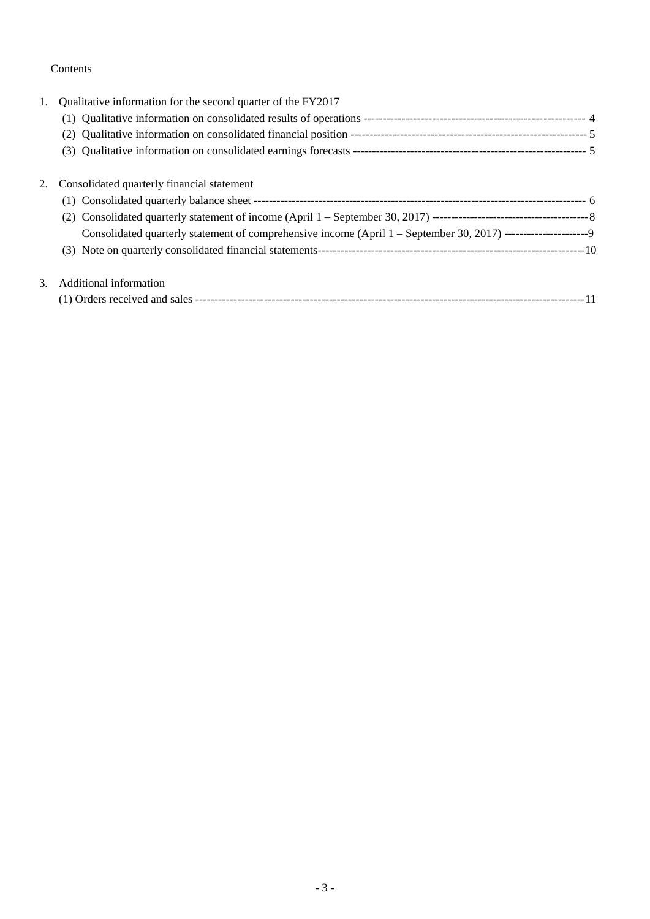### Contents

| 1. | Qualitative information for the second quarter of the FY2017                                                   |  |
|----|----------------------------------------------------------------------------------------------------------------|--|
|    |                                                                                                                |  |
|    |                                                                                                                |  |
|    |                                                                                                                |  |
|    | 2. Consolidated quarterly financial statement                                                                  |  |
|    |                                                                                                                |  |
|    |                                                                                                                |  |
|    | Consolidated quarterly statement of comprehensive income (April 1 - September 30, 2017) ---------------------9 |  |
|    |                                                                                                                |  |
| 3. | Additional information                                                                                         |  |
|    |                                                                                                                |  |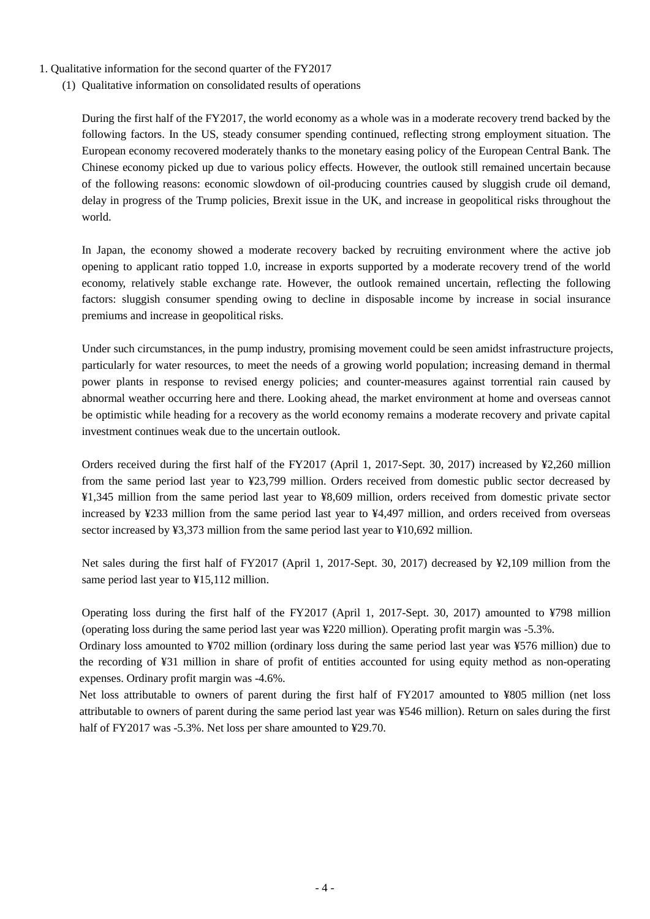- 1. Qualitative information for the second quarter of the FY2017
	- (1) Qualitative information on consolidated results of operations

During the first half of the FY2017, the world economy as a whole was in a moderate recovery trend backed by the following factors. In the US, steady consumer spending continued, reflecting strong employment situation. The European economy recovered moderately thanks to the monetary easing policy of the European Central Bank. The Chinese economy picked up due to various policy effects. However, the outlook still remained uncertain because of the following reasons: economic slowdown of oil-producing countries caused by sluggish crude oil demand, delay in progress of the Trump policies, Brexit issue in the UK, and increase in geopolitical risks throughout the world.

In Japan, the economy showed a moderate recovery backed by recruiting environment where the active job opening to applicant ratio topped 1.0, increase in exports supported by a moderate recovery trend of the world economy, relatively stable exchange rate. However, the outlook remained uncertain, reflecting the following factors: sluggish consumer spending owing to decline in disposable income by increase in social insurance premiums and increase in geopolitical risks.

Under such circumstances, in the pump industry, promising movement could be seen amidst infrastructure projects, particularly for water resources, to meet the needs of a growing world population; increasing demand in thermal power plants in response to revised energy policies; and counter-measures against torrential rain caused by abnormal weather occurring here and there. Looking ahead, the market environment at home and overseas cannot be optimistic while heading for a recovery as the world economy remains a moderate recovery and private capital investment continues weak due to the uncertain outlook.

Orders received during the first half of the FY2017 (April 1, 2017-Sept. 30, 2017) increased by ¥2,260 million from the same period last year to ¥23,799 million. Orders received from domestic public sector decreased by ¥1,345 million from the same period last year to ¥8,609 million, orders received from domestic private sector increased by ¥233 million from the same period last year to ¥4,497 million, and orders received from overseas sector increased by ¥3,373 million from the same period last year to ¥10,692 million.

Net sales during the first half of FY2017 (April 1, 2017-Sept. 30, 2017) decreased by ¥2,109 million from the same period last year to ¥15,112 million.

Operating loss during the first half of the FY2017 (April 1, 2017-Sept. 30, 2017) amounted to ¥798 million (operating loss during the same period last year was ¥220 million). Operating profit margin was -5.3%.

Ordinary loss amounted to ¥702 million (ordinary loss during the same period last year was ¥576 million) due to the recording of ¥31 million in share of profit of entities accounted for using equity method as non-operating expenses. Ordinary profit margin was -4.6%.

Net loss attributable to owners of parent during the first half of FY2017 amounted to ¥805 million (net loss attributable to owners of parent during the same period last year was ¥546 million). Return on sales during the first half of FY2017 was -5.3%. Net loss per share amounted to ¥29.70.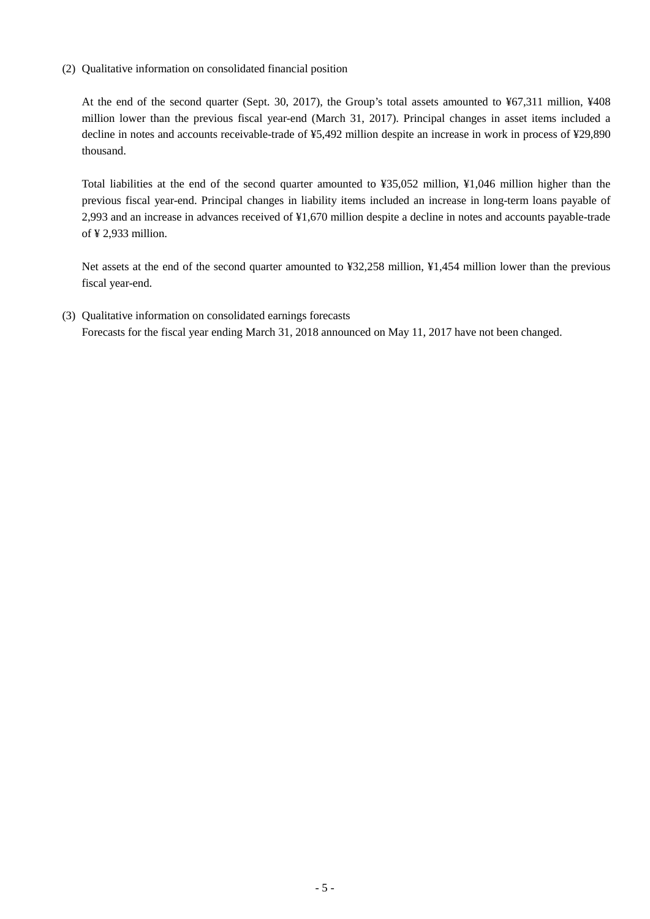(2) Qualitative information on consolidated financial position

At the end of the second quarter (Sept. 30, 2017), the Group's total assets amounted to ¥67,311 million, ¥408 million lower than the previous fiscal year-end (March 31, 2017). Principal changes in asset items included a decline in notes and accounts receivable-trade of ¥5,492 million despite an increase in work in process of ¥29,890 thousand.

Total liabilities at the end of the second quarter amounted to ¥35,052 million, ¥1,046 million higher than the previous fiscal year-end. Principal changes in liability items included an increase in long-term loans payable of 2,993 and an increase in advances received of ¥1,670 million despite a decline in notes and accounts payable-trade of ¥ 2,933 million.

Net assets at the end of the second quarter amounted to ¥32,258 million, ¥1,454 million lower than the previous fiscal year-end.

(3) Qualitative information on consolidated earnings forecasts Forecasts for the fiscal year ending March 31, 2018 announced on May 11, 2017 have not been changed.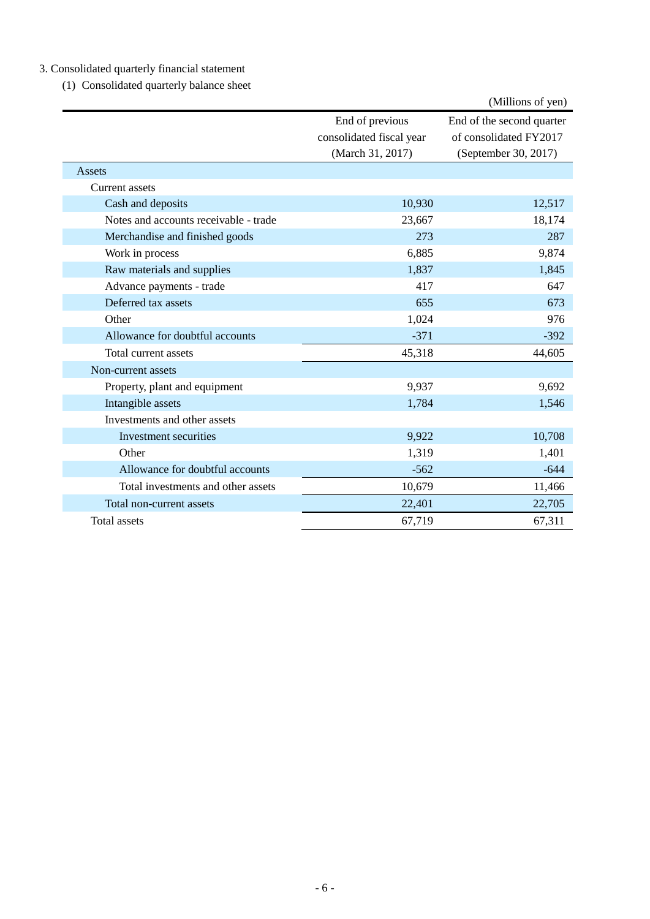# 3. Consolidated quarterly financial statement

(1) Consolidated quarterly balance sheet

|                                       |                                             | (Millions of yen)                                   |
|---------------------------------------|---------------------------------------------|-----------------------------------------------------|
|                                       | End of previous<br>consolidated fiscal year | End of the second quarter<br>of consolidated FY2017 |
|                                       | (March 31, 2017)                            | (September 30, 2017)                                |
| Assets                                |                                             |                                                     |
| Current assets                        |                                             |                                                     |
| Cash and deposits                     | 10,930                                      | 12,517                                              |
| Notes and accounts receivable - trade | 23,667                                      | 18,174                                              |
| Merchandise and finished goods        | 273                                         | 287                                                 |
| Work in process                       | 6,885                                       | 9,874                                               |
| Raw materials and supplies            | 1,837                                       | 1,845                                               |
| Advance payments - trade              | 417                                         | 647                                                 |
| Deferred tax assets                   | 655                                         | 673                                                 |
| Other                                 | 1,024                                       | 976                                                 |
| Allowance for doubtful accounts       | $-371$                                      | $-392$                                              |
| Total current assets                  | 45,318                                      | 44,605                                              |
| Non-current assets                    |                                             |                                                     |
| Property, plant and equipment         | 9,937                                       | 9,692                                               |
| Intangible assets                     | 1,784                                       | 1,546                                               |
| Investments and other assets          |                                             |                                                     |
| Investment securities                 | 9,922                                       | 10,708                                              |
| Other                                 | 1,319                                       | 1,401                                               |
| Allowance for doubtful accounts       | $-562$                                      | $-644$                                              |
| Total investments and other assets    | 10,679                                      | 11,466                                              |
| Total non-current assets              | 22,401                                      | 22,705                                              |
| Total assets                          | 67,719                                      | 67,311                                              |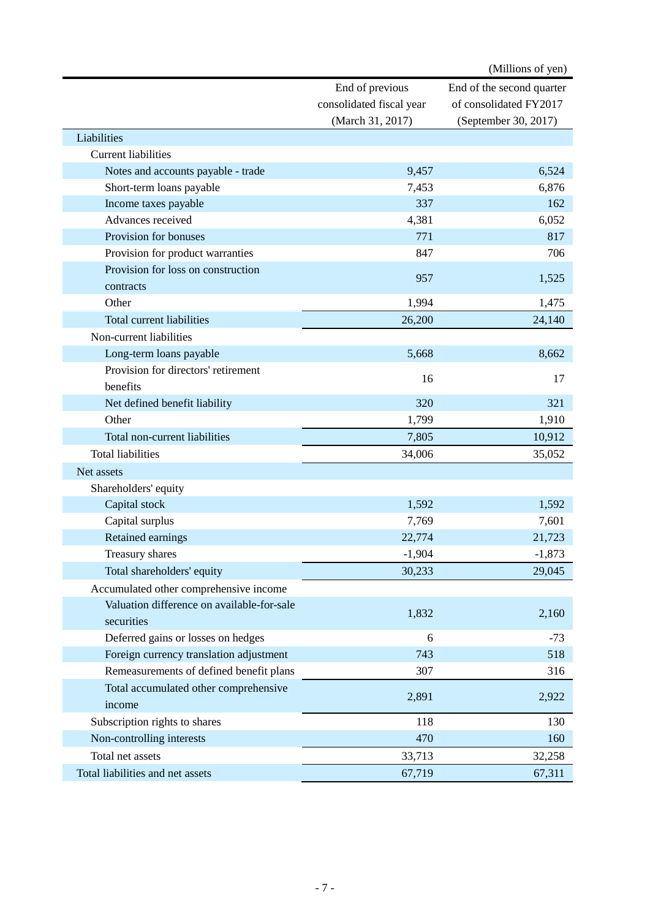|                                            |                          | (Millions of yen)         |
|--------------------------------------------|--------------------------|---------------------------|
|                                            | End of previous          | End of the second quarter |
|                                            | consolidated fiscal year | of consolidated FY2017    |
|                                            | (March 31, 2017)         | (September 30, 2017)      |
| Liabilities                                |                          |                           |
| <b>Current liabilities</b>                 |                          |                           |
| Notes and accounts payable - trade         | 9,457                    | 6,524                     |
| Short-term loans payable                   | 7,453                    | 6,876                     |
| Income taxes payable                       | 337                      | 162                       |
| Advances received                          | 4,381                    | 6,052                     |
| Provision for bonuses                      | 771                      | 817                       |
| Provision for product warranties           | 847                      | 706                       |
| Provision for loss on construction         |                          |                           |
| contracts                                  | 957                      | 1,525                     |
| Other                                      | 1,994                    | 1,475                     |
| <b>Total current liabilities</b>           | 26,200                   | 24,140                    |
| Non-current liabilities                    |                          |                           |
| Long-term loans payable                    | 5,668                    | 8,662                     |
| Provision for directors' retirement        |                          |                           |
| benefits                                   | 16                       | 17                        |
| Net defined benefit liability              | 320                      | 321                       |
| Other                                      | 1,799                    | 1,910                     |
| Total non-current liabilities              | 7,805                    | 10,912                    |
| <b>Total liabilities</b>                   | 34,006                   | 35,052                    |
| Net assets                                 |                          |                           |
| Shareholders' equity                       |                          |                           |
| Capital stock                              | 1,592                    | 1,592                     |
| Capital surplus                            | 7,769                    | 7,601                     |
| Retained earnings                          | 22,774                   | 21,723                    |
| Treasury shares                            | $-1,904$                 | $-1,873$                  |
| Total shareholders' equity                 | 30,233                   | 29,045                    |
| Accumulated other comprehensive income     |                          |                           |
| Valuation difference on available-for-sale |                          |                           |
| securities                                 | 1,832                    | 2,160                     |
| Deferred gains or losses on hedges         | 6                        | $-73$                     |
| Foreign currency translation adjustment    | 743                      | 518                       |
| Remeasurements of defined benefit plans    | 307                      | 316                       |
| Total accumulated other comprehensive      |                          |                           |
| income                                     | 2,891                    | 2,922                     |
| Subscription rights to shares              | 118                      | 130                       |
| Non-controlling interests                  | 470                      | 160                       |
| Total net assets                           | 33,713                   | 32,258                    |
| Total liabilities and net assets           | 67,719                   | 67,311                    |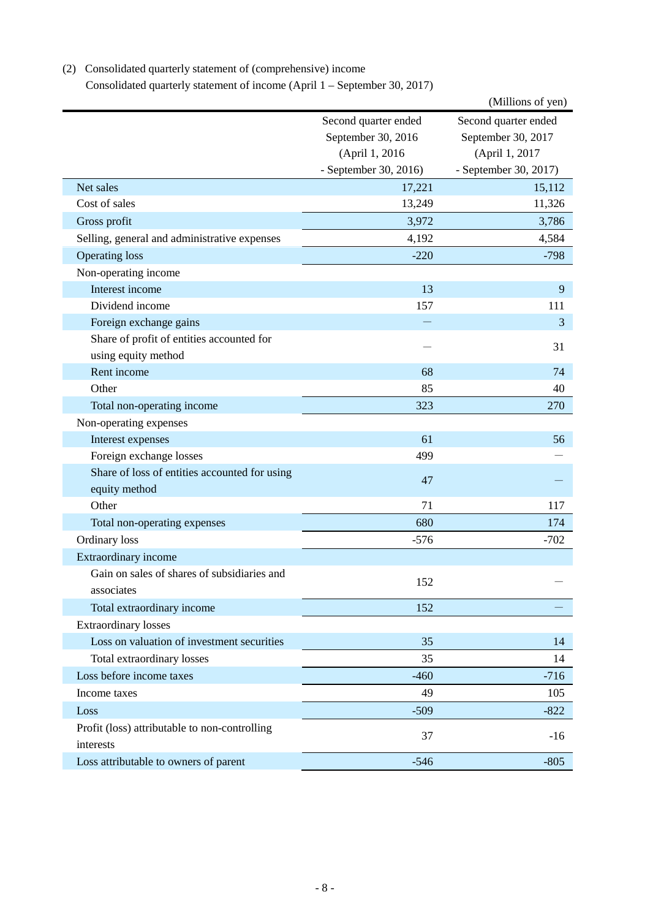| Consolidated quarterly statement of income (April 1 – September 30, 2017) |                       |                       |
|---------------------------------------------------------------------------|-----------------------|-----------------------|
|                                                                           |                       | (Millions of yen)     |
|                                                                           | Second quarter ended  | Second quarter ended  |
|                                                                           | September 30, 2016    | September 30, 2017    |
|                                                                           | (April 1, 2016        | (April 1, 2017        |
|                                                                           | - September 30, 2016) | - September 30, 2017) |
| Net sales                                                                 | 17,221                | 15,112                |
| Cost of sales                                                             | 13,249                | 11,326                |
| Gross profit                                                              | 3,972                 | 3,786                 |
| Selling, general and administrative expenses                              | 4,192                 | 4,584                 |
| <b>Operating loss</b>                                                     | $-220$                | $-798$                |
| Non-operating income                                                      |                       |                       |
| Interest income                                                           | 13                    | 9                     |
| Dividend income                                                           | 157                   | 111                   |
| Foreign exchange gains                                                    |                       | 3                     |
| Share of profit of entities accounted for                                 |                       |                       |
| using equity method                                                       |                       | 31                    |
| Rent income                                                               | 68                    | 74                    |
| Other                                                                     | 85                    | 40                    |
| Total non-operating income                                                | 323                   | 270                   |
| Non-operating expenses                                                    |                       |                       |
| Interest expenses                                                         | 61                    | 56                    |
| Foreign exchange losses                                                   | 499                   |                       |
| Share of loss of entities accounted for using                             | 47                    |                       |
| equity method                                                             |                       |                       |
| Other                                                                     | 71                    | 117                   |
| Total non-operating expenses                                              | 680                   | 174                   |
| Ordinary loss                                                             | $-576$                | $-702$                |
| Extraordinary income                                                      |                       |                       |
| Gain on sales of shares of subsidiaries and                               | 152                   |                       |
| associates                                                                |                       |                       |
| Total extraordinary income                                                | 152                   |                       |
| <b>Extraordinary losses</b>                                               |                       |                       |
| Loss on valuation of investment securities                                | 35                    | 14                    |
| Total extraordinary losses                                                | 35                    | 14                    |
| Loss before income taxes                                                  | $-460$                | $-716$                |
| Income taxes                                                              | 49                    | 105                   |
| Loss                                                                      | $-509$                | $-822$                |
| Profit (loss) attributable to non-controlling                             | 37                    | $-16$                 |
| interests                                                                 |                       |                       |
| Loss attributable to owners of parent                                     | $-546$                | $-805$                |

# (2) Consolidated quarterly statement of (comprehensive) income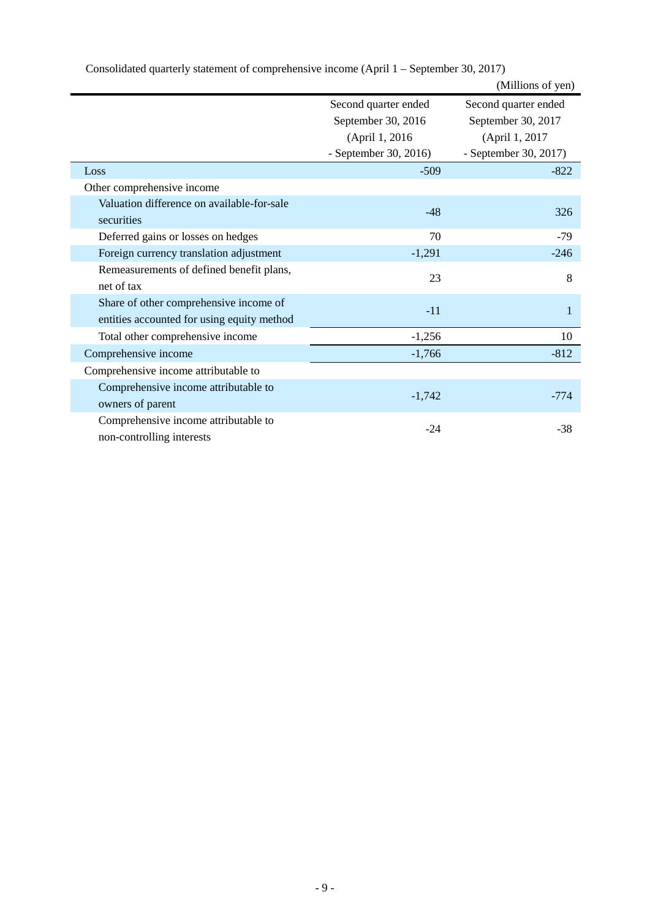|                                            |                       | (Millions of yen)     |
|--------------------------------------------|-----------------------|-----------------------|
|                                            | Second quarter ended  | Second quarter ended  |
|                                            | September 30, 2016    | September 30, 2017    |
|                                            | (April 1, 2016)       | (April 1, 2017        |
|                                            | - September 30, 2016) | - September 30, 2017) |
| Loss                                       | $-509$                | $-822$                |
| Other comprehensive income                 |                       |                       |
| Valuation difference on available-for-sale | $-48$                 |                       |
| securities                                 |                       | 326                   |
| Deferred gains or losses on hedges         | 70                    | $-79$                 |
| Foreign currency translation adjustment    | $-1,291$              | $-246$                |
| Remeasurements of defined benefit plans,   | 23                    | 8                     |
| net of tax                                 |                       |                       |
| Share of other comprehensive income of     | $-11$                 | 1                     |
| entities accounted for using equity method |                       |                       |
| Total other comprehensive income           | $-1,256$              | 10                    |
| Comprehensive income                       | $-1,766$              | $-812$                |
| Comprehensive income attributable to       |                       |                       |
| Comprehensive income attributable to       |                       | $-774$                |
| owners of parent                           | $-1,742$              |                       |
| Comprehensive income attributable to       | $-24$                 | $-38$                 |
| non-controlling interests                  |                       |                       |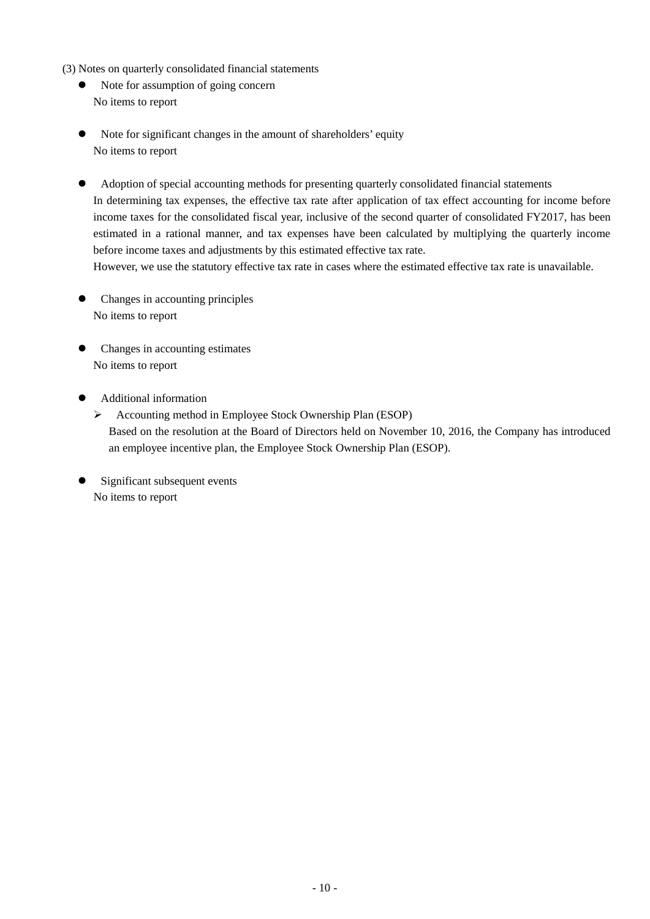- (3) Notes on quarterly consolidated financial statements
	- Note for assumption of going concern No items to report
	- Note for significant changes in the amount of shareholders' equity No items to report
	- Adoption of special accounting methods for presenting quarterly consolidated financial statements In determining tax expenses, the effective tax rate after application of tax effect accounting for income before income taxes for the consolidated fiscal year, inclusive of the second quarter of consolidated FY2017, has been estimated in a rational manner, and tax expenses have been calculated by multiplying the quarterly income before income taxes and adjustments by this estimated effective tax rate. However, we use the statutory effective tax rate in cases where the estimated effective tax rate is unavailable.
	- Changes in accounting principles No items to report
	- Changes in accounting estimates No items to report
	- Additional information
		- Accounting method in Employee Stock Ownership Plan (ESOP) Based on the resolution at the Board of Directors held on November 10, 2016, the Company has introduced an employee incentive plan, the Employee Stock Ownership Plan (ESOP).
	- Significant subsequent events No items to report